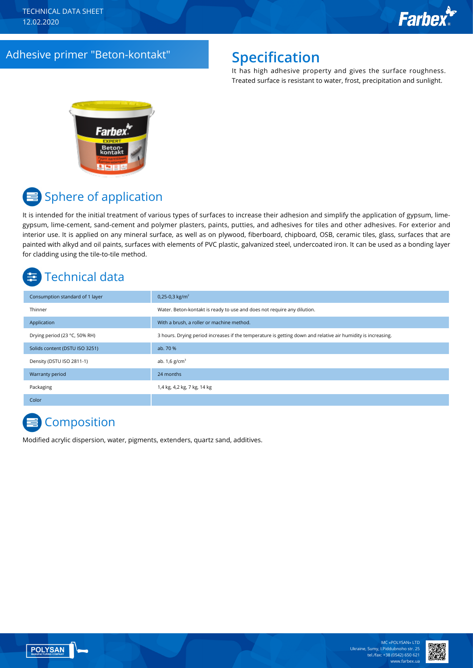### Adhesive primer "Beton-kontakt" **Specification**

It has high adhesive property and gives the surface roughness. Treated surface is resistant to water, frost, precipitation and sunlight.



# Sphere of application

It is intended for the initial treatment of various types of surfaces to increase their adhesion and simplify the application of gypsum, limegypsum, lime-cement, sand-cement and polymer plasters, paints, putties, and adhesives for tiles and other adhesives. For exterior and interior use. It is applied on any mineral surface, as well as on plywood, fiberboard, chipboard, OSB, ceramic tiles, glass, surfaces that are painted with alkyd and oil paints, surfaces with elements of PVC plastic, galvanized steel, undercoated iron. It can be used as a bonding layer for cladding using the tile-to-tile method.

## Technical data

| Consumption standard of 1 layer | 0,25-0,3 kg/m <sup>2</sup>                                                                                   |
|---------------------------------|--------------------------------------------------------------------------------------------------------------|
| Thinner                         | Water. Beton-kontakt is ready to use and does not require any dilution.                                      |
| Application                     | With a brush, a roller or machine method.                                                                    |
| Drying period (23 °C, 50% RH)   | 3 hours. Drying period increases if the temperature is getting down and relative air humidity is increasing. |
| Solids content (DSTU ISO 3251)  | ab. 70 %                                                                                                     |
| Density (DSTU ISO 2811-1)       | ab. $1,6$ g/cm <sup>3</sup>                                                                                  |
| Warranty period                 | 24 months                                                                                                    |
| Packaging                       | 1,4 kg, 4,2 kg, 7 kg, 14 kg                                                                                  |
| Color                           |                                                                                                              |

### **E** Composition

Modified acrylic dispersion, water, pigments, extenders, quartz sand, additives.